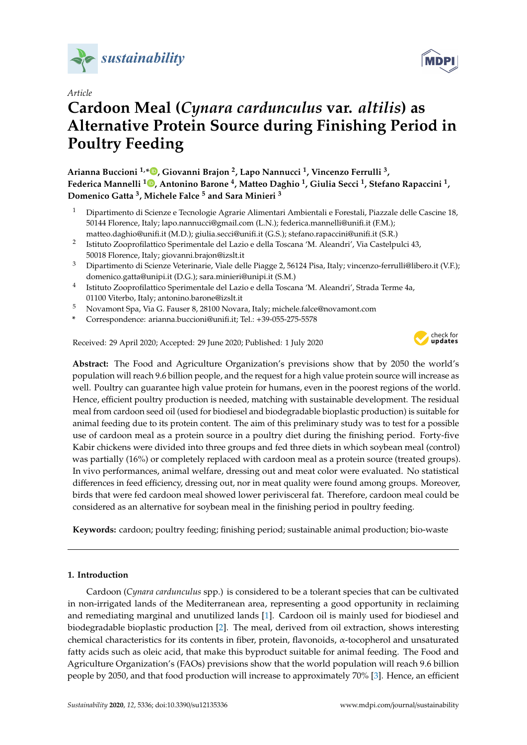

## *Article*

# **Cardoon Meal (***Cynara cardunculus* **var.** *altilis***) as Alternative Protein Source during Finishing Period in Poultry Feeding**

**Arianna Buccioni 1,[\\*](https://orcid.org/0000-0003-3289-1840) , Giovanni Brajon <sup>2</sup> , Lapo Nannucci <sup>1</sup> , Vincenzo Ferrulli <sup>3</sup> , Federica Mannelli <sup>1</sup> [,](https://orcid.org/0000-0001-7759-3826) Antonino Barone <sup>4</sup> , Matteo Daghio <sup>1</sup> , Giulia Secci <sup>1</sup> , Stefano Rapaccini <sup>1</sup> , Domenico Gatta <sup>3</sup> , Michele Falce <sup>5</sup> and Sara Minieri <sup>3</sup>**

- <sup>1</sup> Dipartimento di Scienze e Tecnologie Agrarie Alimentari Ambientali e Forestali, Piazzale delle Cascine 18, 50144 Florence, Italy; lapo.nannucci@gmail.com (L.N.); federica.mannelli@unifi.it (F.M.); matteo.daghio@unifi.it (M.D.); giulia.secci@unifi.it (G.S.); stefano.rapaccini@unifi.it (S.R.)
- 2 Istituto Zooprofilattico Sperimentale del Lazio e della Toscana 'M. Aleandri', Via Castelpulci 43, 50018 Florence, Italy; giovanni.brajon@izslt.it
- <sup>3</sup> Dipartimento di Scienze Veterinarie, Viale delle Piagge 2, 56124 Pisa, Italy; vincenzo-ferrulli@libero.it (V.F.); domenico.gatta@unipi.it (D.G.); sara.minieri@unipi.it (S.M.)
- 4 Istituto Zooprofilattico Sperimentale del Lazio e della Toscana 'M. Aleandri', Strada Terme 4a, 01100 Viterbo, Italy; antonino.barone@izslt.it
- <sup>5</sup> Novamont Spa, Via G. Fauser 8, 28100 Novara, Italy; michele.falce@novamont.com
- **\*** Correspondence: arianna.buccioni@unifi.it; Tel.: +39-055-275-5578

Received: 29 April 2020; Accepted: 29 June 2020; Published: 1 July 2020



**MDPI** 

**Abstract:** The Food and Agriculture Organization's previsions show that by 2050 the world's population will reach 9.6 billion people, and the request for a high value protein source will increase as well. Poultry can guarantee high value protein for humans, even in the poorest regions of the world. Hence, efficient poultry production is needed, matching with sustainable development. The residual meal from cardoon seed oil (used for biodiesel and biodegradable bioplastic production) is suitable for animal feeding due to its protein content. The aim of this preliminary study was to test for a possible use of cardoon meal as a protein source in a poultry diet during the finishing period. Forty-five Kabir chickens were divided into three groups and fed three diets in which soybean meal (control) was partially (16%) or completely replaced with cardoon meal as a protein source (treated groups). In vivo performances, animal welfare, dressing out and meat color were evaluated. No statistical differences in feed efficiency, dressing out, nor in meat quality were found among groups. Moreover, birds that were fed cardoon meal showed lower perivisceral fat. Therefore, cardoon meal could be considered as an alternative for soybean meal in the finishing period in poultry feeding.

**Keywords:** cardoon; poultry feeding; finishing period; sustainable animal production; bio-waste

## **1. Introduction**

Cardoon (*Cynara cardunculus* spp.) is considered to be a tolerant species that can be cultivated in non-irrigated lands of the Mediterranean area, representing a good opportunity in reclaiming and remediating marginal and unutilized lands [\[1\]](#page-7-0). Cardoon oil is mainly used for biodiesel and biodegradable bioplastic production [\[2\]](#page-7-1). The meal, derived from oil extraction, shows interesting chemical characteristics for its contents in fiber, protein, flavonoids, α-tocopherol and unsaturated fatty acids such as oleic acid, that make this byproduct suitable for animal feeding. The Food and Agriculture Organization's (FAOs) previsions show that the world population will reach 9.6 billion people by 2050, and that food production will increase to approximately 70% [\[3\]](#page-7-2). Hence, an efficient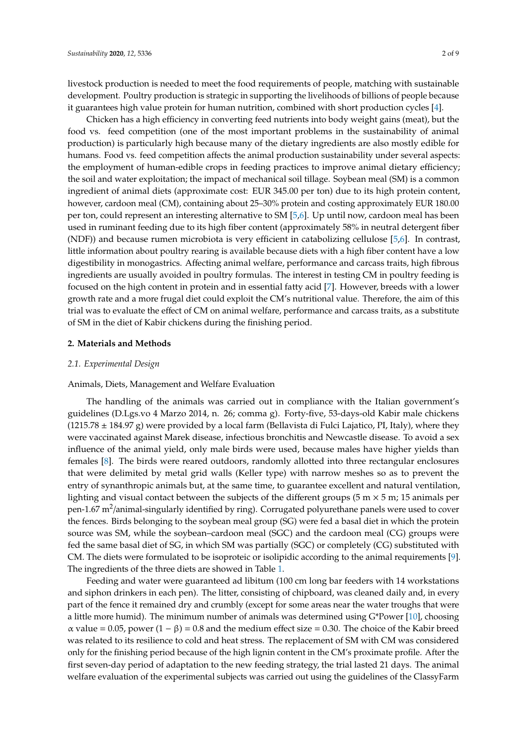livestock production is needed to meet the food requirements of people, matching with sustainable development. Poultry production is strategic in supporting the livelihoods of billions of people because it guarantees high value protein for human nutrition, combined with short production cycles [\[4\]](#page-7-3).

Chicken has a high efficiency in converting feed nutrients into body weight gains (meat), but the food vs. feed competition (one of the most important problems in the sustainability of animal production) is particularly high because many of the dietary ingredients are also mostly edible for humans. Food vs. feed competition affects the animal production sustainability under several aspects: the employment of human-edible crops in feeding practices to improve animal dietary efficiency; the soil and water exploitation; the impact of mechanical soil tillage. Soybean meal (SM) is a common ingredient of animal diets (approximate cost: EUR 345.00 per ton) due to its high protein content, however, cardoon meal (CM), containing about 25–30% protein and costing approximately EUR 180.00 per ton, could represent an interesting alternative to SM [\[5](#page-7-4)[,6\]](#page-7-5). Up until now, cardoon meal has been used in ruminant feeding due to its high fiber content (approximately 58% in neutral detergent fiber (NDF)) and because rumen microbiota is very efficient in catabolizing cellulose [\[5,](#page-7-4)[6\]](#page-7-5). In contrast, little information about poultry rearing is available because diets with a high fiber content have a low digestibility in monogastrics. Affecting animal welfare, performance and carcass traits, high fibrous ingredients are usually avoided in poultry formulas. The interest in testing CM in poultry feeding is focused on the high content in protein and in essential fatty acid [\[7\]](#page-7-6). However, breeds with a lower growth rate and a more frugal diet could exploit the CM's nutritional value. Therefore, the aim of this trial was to evaluate the effect of CM on animal welfare, performance and carcass traits, as a substitute of SM in the diet of Kabir chickens during the finishing period.

## **2. Materials and Methods**

#### *2.1. Experimental Design*

#### Animals, Diets, Management and Welfare Evaluation

The handling of the animals was carried out in compliance with the Italian government's guidelines (D.Lgs.vo 4 Marzo 2014, n. 26; comma g). Forty-five, 53-days-old Kabir male chickens (1215.78 ± 184.97 g) were provided by a local farm (Bellavista di Fulci Lajatico, PI, Italy), where they were vaccinated against Marek disease, infectious bronchitis and Newcastle disease. To avoid a sex influence of the animal yield, only male birds were used, because males have higher yields than females [\[8\]](#page-7-7). The birds were reared outdoors, randomly allotted into three rectangular enclosures that were delimited by metal grid walls (Keller type) with narrow meshes so as to prevent the entry of synanthropic animals but, at the same time, to guarantee excellent and natural ventilation, lighting and visual contact between the subjects of the different groups (5 m  $\times$  5 m; 15 animals per pen-1.67 m<sup>2</sup>/animal-singularly identified by ring). Corrugated polyurethane panels were used to cover the fences. Birds belonging to the soybean meal group (SG) were fed a basal diet in which the protein source was SM, while the soybean–cardoon meal (SGC) and the cardoon meal (CG) groups were fed the same basal diet of SG, in which SM was partially (SGC) or completely (CG) substituted with CM. The diets were formulated to be isoproteic or isolipidic according to the animal requirements [\[9\]](#page-7-8). The ingredients of the three diets are showed in Table [1.](#page-2-0)

Feeding and water were guaranteed ad libitum (100 cm long bar feeders with 14 workstations and siphon drinkers in each pen). The litter, consisting of chipboard, was cleaned daily and, in every part of the fence it remained dry and crumbly (except for some areas near the water troughs that were a little more humid). The minimum number of animals was determined using G\*Power [\[10\]](#page-7-9), choosing  $\alpha$  value = 0.05, power  $(1 - \beta)$  = 0.8 and the medium effect size = 0.30. The choice of the Kabir breed was related to its resilience to cold and heat stress. The replacement of SM with CM was considered only for the finishing period because of the high lignin content in the CM's proximate profile. After the first seven-day period of adaptation to the new feeding strategy, the trial lasted 21 days. The animal welfare evaluation of the experimental subjects was carried out using the guidelines of the ClassyFarm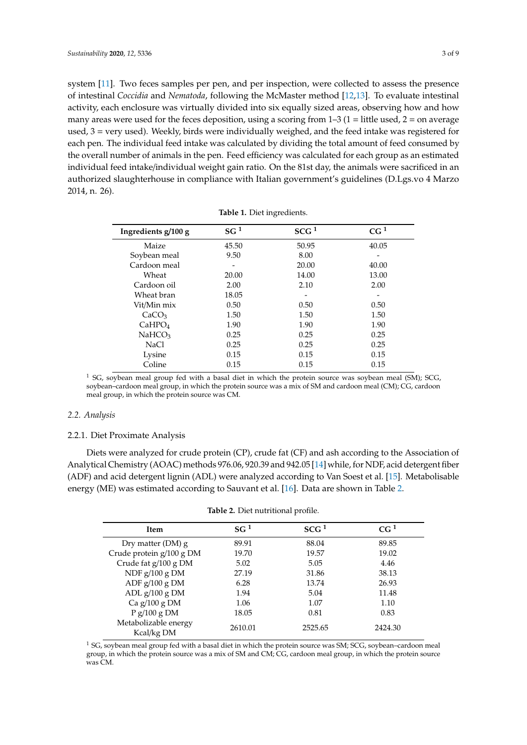system [\[11\]](#page-7-10). Two feces samples per pen, and per inspection, were collected to assess the presence of intestinal *Coccidia* and *Nematoda*, following the McMaster method [\[12](#page-7-11)[,13\]](#page-7-12). To evaluate intestinal activity, each enclosure was virtually divided into six equally sized areas, observing how and how many areas were used for the feces deposition, using a scoring from  $1-3$  ( $1 =$  little used,  $2 =$  on average used, 3 = very used). Weekly, birds were individually weighed, and the feed intake was registered for each pen. The individual feed intake was calculated by dividing the total amount of feed consumed by the overall number of animals in the pen. Feed efficiency was calculated for each group as an estimated individual feed intake/individual weight gain ratio. On the 81st day, the animals were sacrificed in an authorized slaughterhouse in compliance with Italian government's guidelines (D.Lgs.vo 4 Marzo 2014, n. 26).

<span id="page-2-0"></span>

| Ingredients g/100 g | SG <sup>1</sup> | SCG <sup>1</sup> | CG <sup>1</sup> |
|---------------------|-----------------|------------------|-----------------|
| Maize               | 45.50           | 50.95            | 40.05           |
| Soybean meal        | 9.50            | 8.00             |                 |
| Cardoon meal        |                 | 20.00            | 40.00           |
| Wheat               | 20.00           | 14.00            | 13.00           |
| Cardoon oil         | 2.00            | 2.10             | 2.00            |
| Wheat bran          | 18.05           |                  |                 |
| Vit/Min mix         | 0.50            | 0.50             | 0.50            |
| CaCO <sub>3</sub>   | 1.50            | 1.50             | 1.50            |
| CaHPO <sub>4</sub>  | 1.90            | 1.90             | 1.90            |
| NaHCO <sub>3</sub>  | 0.25            | 0.25             | 0.25            |
| NaCl                | 0.25            | 0.25             | 0.25            |
| Lysine              | 0.15            | 0.15             | 0.15            |
| Coline              | 0.15            | 0.15             | 0.15            |
|                     |                 |                  |                 |

**Table 1.** Diet ingredients.

 $1$  SG, soybean meal group fed with a basal diet in which the protein source was soybean meal (SM); SCG, soybean–cardoon meal group, in which the protein source was a mix of SM and cardoon meal (CM); CG, cardoon meal group, in which the protein source was CM.

## *2.2. Analysis*

#### 2.2.1. Diet Proximate Analysis

Diets were analyzed for crude protein (CP), crude fat (CF) and ash according to the Association of Analytical Chemistry (AOAC) methods 976.06, 920.39 and 942.05 [\[14\]](#page-7-13) while, for NDF, acid detergent fiber (ADF) and acid detergent lignin (ADL) were analyzed according to Van Soest et al. [\[15\]](#page-7-14). Metabolisable energy (ME) was estimated according to Sauvant et al. [\[16\]](#page-7-15). Data are shown in Table [2.](#page-2-1)

| Table 2. Diet nutritional profile. |  |
|------------------------------------|--|
|                                    |  |

<span id="page-2-1"></span>

| <b>Item</b>                        | SG <sup>1</sup> | SCG <sup>1</sup> | CG <sup>1</sup> |
|------------------------------------|-----------------|------------------|-----------------|
| Dry matter (DM) $g$                | 89.91           | 88.04            | 89.85           |
| Crude protein g/100 g DM           | 19.70           | 19.57            | 19.02           |
| Crude fat g/100 g DM               | 5.02            | 5.05             | 4.46            |
| NDF $g/100 g$ DM                   | 27.19           | 31.86            | 38.13           |
| ADF $g/100 g$ DM                   | 6.28            | 13.74            | 26.93           |
| ADL $g/100 g$ DM                   | 1.94            | 5.04             | 11.48           |
| Ca $g/100 g$ DM                    | 1.06            | 1.07             | 1.10            |
| P g/100 g DM                       | 18.05           | 0.81             | 0.83            |
| Metabolizable energy<br>Kcal/kg DM | 2610.01         | 2525.65          | 2424.30         |

 $1$  SG, soybean meal group fed with a basal diet in which the protein source was SM; SCG, soybean–cardoon meal group, in which the protein source was a mix of SM and CM; CG, cardoon meal group, in which the protein source was CM.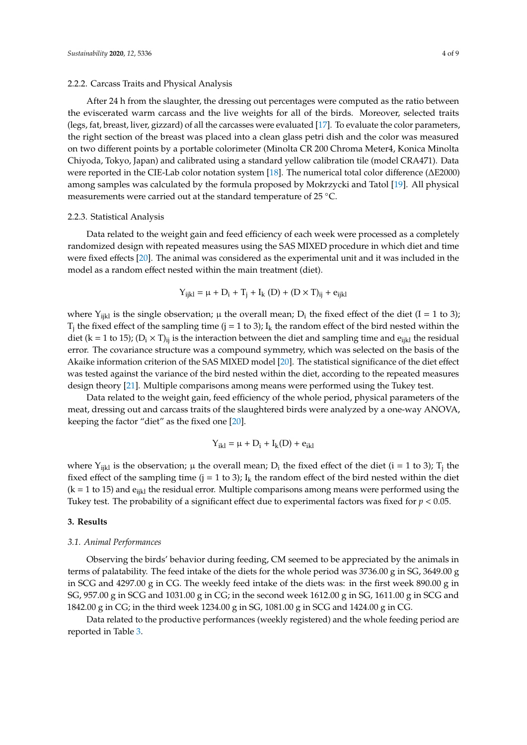#### 2.2.2. Carcass Traits and Physical Analysis

After 24 h from the slaughter, the dressing out percentages were computed as the ratio between the eviscerated warm carcass and the live weights for all of the birds. Moreover, selected traits (legs, fat, breast, liver, gizzard) of all the carcasses were evaluated [\[17\]](#page-7-16). To evaluate the color parameters, the right section of the breast was placed into a clean glass petri dish and the color was measured on two different points by a portable colorimeter (Minolta CR 200 Chroma Meter4, Konica Minolta Chiyoda, Tokyo, Japan) and calibrated using a standard yellow calibration tile (model CRA471). Data were reported in the CIE-Lab color notation system [\[18\]](#page-7-17). The numerical total color difference (∆E2000) among samples was calculated by the formula proposed by Mokrzycki and Tatol [\[19\]](#page-7-18). All physical measurements were carried out at the standard temperature of 25 ◦C.

#### 2.2.3. Statistical Analysis

Data related to the weight gain and feed efficiency of each week were processed as a completely randomized design with repeated measures using the SAS MIXED procedure in which diet and time were fixed effects [\[20\]](#page-7-19). The animal was considered as the experimental unit and it was included in the model as a random effect nested within the main treatment (diet).

$$
Y_{ijkl} = \mu + D_i + T_j + I_k (D) + (D \times T)_{ij} + e_{ijkl}
$$

where  $Y_{ijkl}$  is the single observation;  $\mu$  the overall mean;  $D_i$  the fixed effect of the diet (I = 1 to 3);  $T_j$  the fixed effect of the sampling time (j = 1 to 3);  $I_k$  the random effect of the bird nested within the diet (k = 1 to 15); (D<sub>i</sub> × T)<sub>ii</sub> is the interaction between the diet and sampling time and e<sub>ikl</sub> the residual error. The covariance structure was a compound symmetry, which was selected on the basis of the Akaike information criterion of the SAS MIXED model [\[20\]](#page-7-19). The statistical significance of the diet effect was tested against the variance of the bird nested within the diet, according to the repeated measures design theory [\[21\]](#page-7-20). Multiple comparisons among means were performed using the Tukey test.

Data related to the weight gain, feed efficiency of the whole period, physical parameters of the meat, dressing out and carcass traits of the slaughtered birds were analyzed by a one-way ANOVA, keeping the factor "diet" as the fixed one [\[20\]](#page-7-19).

$$
Y_{ikl} = \mu + D_i + I_k(D) + e_{ikl}
$$

where  $Y_{ijkl}$  is the observation;  $\mu$  the overall mean;  $D_i$  the fixed effect of the diet (i = 1 to 3);  $T_j$  the fixed effect of the sampling time (j = 1 to 3);  $I_k$  the random effect of the bird nested within the diet  $(k = 1$  to 15) and  $e_{ijkl}$  the residual error. Multiple comparisons among means were performed using the Tukey test. The probability of a significant effect due to experimental factors was fixed for *p* < 0.05.

#### **3. Results**

#### *3.1. Animal Performances*

Observing the birds' behavior during feeding, CM seemed to be appreciated by the animals in terms of palatability. The feed intake of the diets for the whole period was 3736.00 g in SG, 3649.00 g in SCG and 4297.00 g in CG. The weekly feed intake of the diets was: in the first week 890.00 g in SG, 957.00 g in SCG and 1031.00 g in CG; in the second week 1612.00 g in SG, 1611.00 g in SCG and 1842.00 g in CG; in the third week 1234.00 g in SG, 1081.00 g in SCG and 1424.00 g in CG.

Data related to the productive performances (weekly registered) and the whole feeding period are reported in Table [3.](#page-4-0)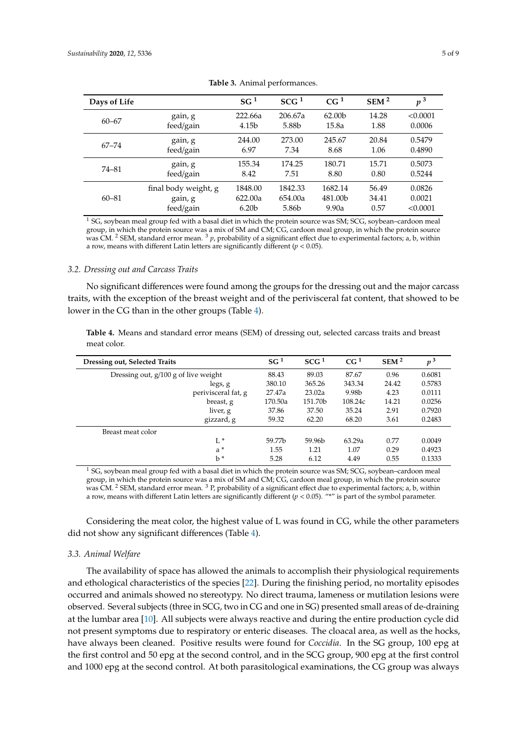<span id="page-4-0"></span>

| Days of Life |                      | SG <sup>1</sup>   | SCG <sup>1</sup> | CG <sup>1</sup>    | SEM <sup>2</sup> | p <sup>3</sup> |
|--------------|----------------------|-------------------|------------------|--------------------|------------------|----------------|
| $60 - 67$    | gain, g              | 222.66a           | 206.67a          | 62.00 <sub>b</sub> | 14.28            | < 0.0001       |
|              | feed/gain            | 4.15b             | 5.88b            | 15.8a              | 1.88             | 0.0006         |
| $67 - 74$    | gain, g              | 244.00            | 273.00           | 245.67             | 20.84            | 0.5479         |
|              | feed/gain            | 6.97              | 7.34             | 8.68               | 1.06             | 0.4890         |
| 74-81        | gain, g              | 155.34            | 174.25           | 180.71             | 15.71            | 0.5073         |
|              | feed/gain            | 8.42              | 7.51             | 8.80               | 0.80             | 0.5244         |
| $60 - 81$    | final body weight, g | 1848.00           | 1842.33          | 1682.14            | 56.49            | 0.0826         |
|              | gain, g              | 622.00a           | 654.00a          | 481.00b            | 34.41            | 0.0021         |
|              | feed/gain            | 6.20 <sub>b</sub> | 5.86b            | 9.90a              | 0.57             | < 0.0001       |

**Table 3.** Animal performances.

<sup>1</sup> SG, soybean meal group fed with a basal diet in which the protein source was SM; SCG, soybean–cardoon meal group, in which the protein source was a mix of SM and CM; CG, cardoon meal group, in which the protein source was CM. <sup>2</sup> SEM, standard error mean. <sup>3</sup> *p*, probability of a significant effect due to experimental factors; a, b, within a row, means with different Latin letters are significantly different (*p* < 0.05).

#### *3.2. Dressing out and Carcass Traits*

No significant differences were found among the groups for the dressing out and the major carcass traits, with the exception of the breast weight and of the perivisceral fat content, that showed to be lower in the CG than in the other groups (Table [4\)](#page-4-1).

<span id="page-4-1"></span>**Table 4.** Means and standard error means (SEM) of dressing out, selected carcass traits and breast meat color.

| Dressing out, Selected Traits          | SG <sup>1</sup> | SCG <sup>1</sup> | CG <sup>1</sup> | SEM <sup>2</sup> | p <sup>3</sup> |
|----------------------------------------|-----------------|------------------|-----------------|------------------|----------------|
| Dressing out, $g/100 g$ of live weight | 88.43           | 89.03            | 87.67           | 0.96             | 0.6081         |
| legs, g                                | 380.10          | 365.26           | 343.34          | 24.42            | 0.5783         |
| perivisceral fat, g                    | 27.47a          | 23.02a           | 9.98b           | 4.23             | 0.0111         |
| breast, g                              | 170.50a         | 151.70b          | 108.24c         | 14.21            | 0.0256         |
| liver, g                               | 37.86           | 37.50            | 35.24           | 2.91             | 0.7920         |
| gizzard, g                             | 59.32           | 62.20            | 68.20           | 3.61             | 0.2483         |
| Breast meat color                      |                 |                  |                 |                  |                |
| $L^*$                                  | 59.77b          | 59.96b           | 63.29a          | 0.77             | 0.0049         |
| $a^*$                                  | 1.55            | 1.21             | 1.07            | 0.29             | 0.4923         |
| $h^*$                                  | 5.28            | 6.12             | 4.49            | 0.55             | 0.1333         |

 $1$  SG, soybean meal group fed with a basal diet in which the protein source was SM; SCG, soybean-cardoon meal group, in which the protein source was a mix of SM and CM; CG, cardoon meal group, in which the protein source was CM. <sup>2</sup> SEM, standard error mean. <sup>3</sup> P, probability of a significant effect due to experimental factors; a, b, within a row, means with different Latin letters are significantly different  $(p < 0.05)$ . "\*" is part of the symbol parameter.

Considering the meat color, the highest value of L was found in CG, while the other parameters did not show any significant differences (Table [4\)](#page-4-1).

#### *3.3. Animal Welfare*

The availability of space has allowed the animals to accomplish their physiological requirements and ethological characteristics of the species [\[22\]](#page-7-21). During the finishing period, no mortality episodes occurred and animals showed no stereotypy. No direct trauma, lameness or mutilation lesions were observed. Several subjects (three in SCG, two in CG and one in SG) presented small areas of de-draining at the lumbar area [\[10\]](#page-7-9). All subjects were always reactive and during the entire production cycle did not present symptoms due to respiratory or enteric diseases. The cloacal area, as well as the hocks, have always been cleaned. Positive results were found for *Coccidia*. In the SG group, 100 epg at the first control and 50 epg at the second control, and in the SCG group, 900 epg at the first control and 1000 epg at the second control. At both parasitological examinations, the CG group was always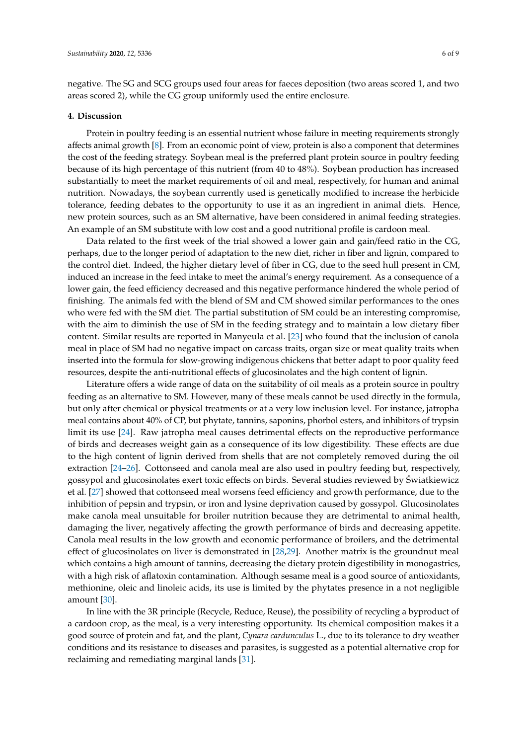negative. The SG and SCG groups used four areas for faeces deposition (two areas scored 1, and two areas scored 2), while the CG group uniformly used the entire enclosure.

#### **4. Discussion**

Protein in poultry feeding is an essential nutrient whose failure in meeting requirements strongly affects animal growth [\[8\]](#page-7-7). From an economic point of view, protein is also a component that determines the cost of the feeding strategy. Soybean meal is the preferred plant protein source in poultry feeding because of its high percentage of this nutrient (from 40 to 48%). Soybean production has increased substantially to meet the market requirements of oil and meal, respectively, for human and animal nutrition. Nowadays, the soybean currently used is genetically modified to increase the herbicide tolerance, feeding debates to the opportunity to use it as an ingredient in animal diets. Hence, new protein sources, such as an SM alternative, have been considered in animal feeding strategies. An example of an SM substitute with low cost and a good nutritional profile is cardoon meal.

Data related to the first week of the trial showed a lower gain and gain/feed ratio in the CG, perhaps, due to the longer period of adaptation to the new diet, richer in fiber and lignin, compared to the control diet. Indeed, the higher dietary level of fiber in CG, due to the seed hull present in CM, induced an increase in the feed intake to meet the animal's energy requirement. As a consequence of a lower gain, the feed efficiency decreased and this negative performance hindered the whole period of finishing. The animals fed with the blend of SM and CM showed similar performances to the ones who were fed with the SM diet. The partial substitution of SM could be an interesting compromise, with the aim to diminish the use of SM in the feeding strategy and to maintain a low dietary fiber content. Similar results are reported in Manyeula et al. [\[23\]](#page-7-22) who found that the inclusion of canola meal in place of SM had no negative impact on carcass traits, organ size or meat quality traits when inserted into the formula for slow-growing indigenous chickens that better adapt to poor quality feed resources, despite the anti-nutritional effects of glucosinolates and the high content of lignin.

Literature offers a wide range of data on the suitability of oil meals as a protein source in poultry feeding as an alternative to SM. However, many of these meals cannot be used directly in the formula, but only after chemical or physical treatments or at a very low inclusion level. For instance, jatropha meal contains about 40% of CP, but phytate, tannins, saponins, phorbol esters, and inhibitors of trypsin limit its use [\[24\]](#page-8-0). Raw jatropha meal causes detrimental effects on the reproductive performance of birds and decreases weight gain as a consequence of its low digestibility. These effects are due to the high content of lignin derived from shells that are not completely removed during the oil extraction [\[24–](#page-8-0)[26\]](#page-8-1). Cottonseed and canola meal are also used in poultry feeding but, respectively, gossypol and glucosinolates exert toxic effects on birds. Several studies reviewed by Swiatkiewicz ´ et al. [\[27\]](#page-8-2) showed that cottonseed meal worsens feed efficiency and growth performance, due to the inhibition of pepsin and trypsin, or iron and lysine deprivation caused by gossypol. Glucosinolates make canola meal unsuitable for broiler nutrition because they are detrimental to animal health, damaging the liver, negatively affecting the growth performance of birds and decreasing appetite. Canola meal results in the low growth and economic performance of broilers, and the detrimental effect of glucosinolates on liver is demonstrated in [\[28](#page-8-3)[,29\]](#page-8-4). Another matrix is the groundnut meal which contains a high amount of tannins, decreasing the dietary protein digestibility in monogastrics, with a high risk of aflatoxin contamination. Although sesame meal is a good source of antioxidants, methionine, oleic and linoleic acids, its use is limited by the phytates presence in a not negligible amount [\[30\]](#page-8-5).

In line with the 3R principle (Recycle, Reduce, Reuse), the possibility of recycling a byproduct of a cardoon crop, as the meal, is a very interesting opportunity. Its chemical composition makes it a good source of protein and fat, and the plant, *Cynara cardunculus* L., due to its tolerance to dry weather conditions and its resistance to diseases and parasites, is suggested as a potential alternative crop for reclaiming and remediating marginal lands [\[31\]](#page-8-6).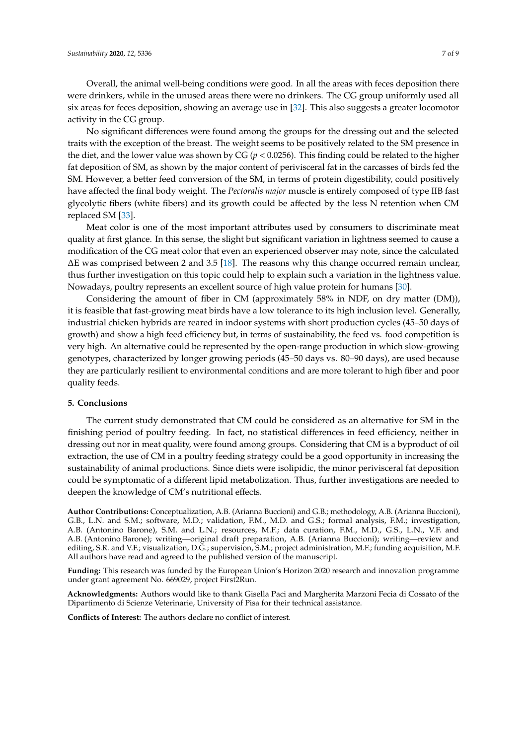Overall, the animal well-being conditions were good. In all the areas with feces deposition there were drinkers, while in the unused areas there were no drinkers. The CG group uniformly used all six areas for feces deposition, showing an average use in [\[32\]](#page-8-7). This also suggests a greater locomotor activity in the CG group.

No significant differences were found among the groups for the dressing out and the selected traits with the exception of the breast. The weight seems to be positively related to the SM presence in the diet, and the lower value was shown by CG (*p* < 0.0256). This finding could be related to the higher fat deposition of SM, as shown by the major content of perivisceral fat in the carcasses of birds fed the SM. However, a better feed conversion of the SM, in terms of protein digestibility, could positively have affected the final body weight. The *Pectoralis major* muscle is entirely composed of type IIB fast glycolytic fibers (white fibers) and its growth could be affected by the less N retention when CM replaced SM [\[33\]](#page-8-8).

Meat color is one of the most important attributes used by consumers to discriminate meat quality at first glance. In this sense, the slight but significant variation in lightness seemed to cause a modification of the CG meat color that even an experienced observer may note, since the calculated ∆E was comprised between 2 and 3.5 [\[18\]](#page-7-17). The reasons why this change occurred remain unclear, thus further investigation on this topic could help to explain such a variation in the lightness value. Nowadays, poultry represents an excellent source of high value protein for humans [\[30\]](#page-8-5).

Considering the amount of fiber in CM (approximately 58% in NDF, on dry matter (DM)), it is feasible that fast-growing meat birds have a low tolerance to its high inclusion level. Generally, industrial chicken hybrids are reared in indoor systems with short production cycles (45–50 days of growth) and show a high feed efficiency but, in terms of sustainability, the feed vs. food competition is very high. An alternative could be represented by the open-range production in which slow-growing genotypes, characterized by longer growing periods (45–50 days vs. 80–90 days), are used because they are particularly resilient to environmental conditions and are more tolerant to high fiber and poor quality feeds.

## **5. Conclusions**

The current study demonstrated that CM could be considered as an alternative for SM in the finishing period of poultry feeding. In fact, no statistical differences in feed efficiency, neither in dressing out nor in meat quality, were found among groups. Considering that CM is a byproduct of oil extraction, the use of CM in a poultry feeding strategy could be a good opportunity in increasing the sustainability of animal productions. Since diets were isolipidic, the minor perivisceral fat deposition could be symptomatic of a different lipid metabolization. Thus, further investigations are needed to deepen the knowledge of CM's nutritional effects.

**Author Contributions:** Conceptualization, A.B. (Arianna Buccioni) and G.B.; methodology, A.B. (Arianna Buccioni), G.B., L.N. and S.M.; software, M.D.; validation, F.M., M.D. and G.S.; formal analysis, F.M.; investigation, A.B. (Antonino Barone), S.M. and L.N.; resources, M.F.; data curation, F.M., M.D., G.S., L.N., V.F. and A.B. (Antonino Barone); writing—original draft preparation, A.B. (Arianna Buccioni); writing—review and editing, S.R. and V.F.; visualization, D.G.; supervision, S.M.; project administration, M.F.; funding acquisition, M.F. All authors have read and agreed to the published version of the manuscript.

**Funding:** This research was funded by the European Union's Horizon 2020 research and innovation programme under grant agreement No. 669029, project First2Run.

**Acknowledgments:** Authors would like to thank Gisella Paci and Margherita Marzoni Fecia di Cossato of the Dipartimento di Scienze Veterinarie, University of Pisa for their technical assistance.

**Conflicts of Interest:** The authors declare no conflict of interest.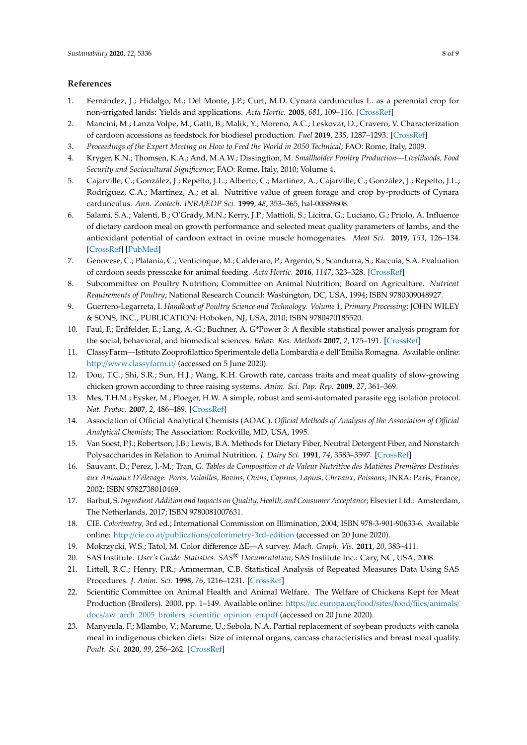## **References**

- <span id="page-7-0"></span>1. Fernández, J.; Hidalgo, M.; Del Monte, J.P.; Curt, M.D. Cynara cardunculus L. as a perennial crop for non-irrigated lands: Yields and applications. *Acta Hortic.* **2005**, *681*, 109–116. [\[CrossRef\]](http://dx.doi.org/10.17660/ActaHortic.2005.681.10)
- <span id="page-7-1"></span>2. Mancini, M.; Lanza Volpe, M.; Gatti, B.; Malik, Y.; Moreno, A.C.; Leskovar, D.; Cravero, V. Characterization of cardoon accessions as feedstock for biodiesel production. *Fuel* **2019**, *235*, 1287–1293. [\[CrossRef\]](http://dx.doi.org/10.1016/j.fuel.2018.08.123)
- <span id="page-7-2"></span>3. *Proceedings of the Expert Meeting on How to Feed the World in 2050 Technical*; FAO: Rome, Italy, 2009.
- <span id="page-7-3"></span>4. Kryger, K.N.; Thomsen, K.A.; And, M.A.W.; Dissingtion, M. *Smallholder Poultry Production—Livelihoods, Food Security and Sociocultural Significance*; FAO: Rome, Italy, 2010; Volume 4.
- <span id="page-7-4"></span>5. Cajarville, C.; González, J.; Repetto, J.L.; Alberto, C.; Martínez, A.; Cajarville, C.; González, J.; Repetto, J.L.; Rodríguez, C.A.; Martínez, A.; et al. Nutritive value of green forage and crop by-products of Cynara cardunculus. *Ann. Zootech. INRA*/*EDP Sci.* **1999**, *48*, 353–365, hal-00889808.
- <span id="page-7-5"></span>6. Salami, S.A.; Valenti, B.; O'Grady, M.N.; Kerry, J.P.; Mattioli, S.; Licitra, G.; Luciano, G.; Priolo, A. Influence of dietary cardoon meal on growth performance and selected meat quality parameters of lambs, and the antioxidant potential of cardoon extract in ovine muscle homogenates. *Meat Sci.* **2019**, *153*, 126–134. [\[CrossRef\]](http://dx.doi.org/10.1016/j.meatsci.2019.03.017) [\[PubMed\]](http://www.ncbi.nlm.nih.gov/pubmed/30927684)
- <span id="page-7-6"></span>7. Genovese, C.; Platania, C.; Venticinque, M.; Calderaro, P.; Argento, S.; Scandurra, S.; Raccuia, S.A. Evaluation of cardoon seeds presscake for animal feeding. *Acta Hortic.* **2016**, *1147*, 323–328. [\[CrossRef\]](http://dx.doi.org/10.17660/ActaHortic.2016.1147.45)
- <span id="page-7-7"></span>8. Subcommittee on Poultry Nutrition; Committee on Animal Nutrition; Board on Agriculture. *Nutrient Requirements of Poultry*; National Research Council: Washington, DC, USA, 1994; ISBN 9780309048927.
- <span id="page-7-8"></span>9. Guerrero-Legarreta, I. *Handbook of Poultry Science and Technology. Volume 1, Primary Processing*; JOHN WILEY & SONS, INC., PUBLICATION: Hoboken, NJ, USA, 2010; ISBN 9780470185520.
- <span id="page-7-9"></span>10. Faul, F.; Erdfelder, E.; Lang, A.-G.; Buchner, A. G\*Power 3: A flexible statistical power analysis program for the social, behavioral, and biomedical sciences. *Behav. Res. Methods* **2007**, *2*, 175–191. [\[CrossRef\]](http://dx.doi.org/10.3758/BF03193146)
- <span id="page-7-10"></span>11. ClassyFarm—Istituto Zooprofilattico Sperimentale della Lombardia e dell'Emilia Romagna. Available online: http://[www.classyfarm.it](http://www.classyfarm.it/)/ (accessed on 5 June 2020).
- <span id="page-7-11"></span>12. Dou, T.C.; Shi, S.R.; Sun, H.J.; Wang, K.H. Growth rate, carcass traits and meat quality of slow-growing chicken grown according to three raising systems. *Anim. Sci. Pap. Rep.* **2009**, *27*, 361–369.
- <span id="page-7-12"></span>13. Mes, T.H.M.; Eysker, M.; Ploeger, H.W. A simple, robust and semi-automated parasite egg isolation protocol. *Nat. Protoc.* **2007**, *2*, 486–489. [\[CrossRef\]](http://dx.doi.org/10.1038/nprot.2007.56)
- <span id="page-7-13"></span>14. Association of Official Analytical Chemists (AOAC). *O*ffi*cial Methods of Analysis of the Association of O*ffi*cial Analytical Chemists*; The Association: Rockville, MD, USA, 1995.
- <span id="page-7-14"></span>15. Van Soest, P.J.; Robertson, J.B.; Lewis, B.A. Methods for Dietary Fiber, Neutral Detergent Fiber, and Nonstarch Polysaccharides in Relation to Animal Nutrition. *J. Dairy Sci.* **1991**, *74*, 3583–3597. [\[CrossRef\]](http://dx.doi.org/10.3168/jds.S0022-0302(91)78551-2)
- <span id="page-7-15"></span>16. Sauvant, D.; Perez, J.-M.; Tran, G. *Tables de Composition et de Valeur Nutritive des Matières Premières Destinées aux Animaux D'élevage: Porcs, Volailles, Bovins, Ovins, Caprins, Lapins, Chevaux, Poissons*; INRA: Paris, France, 2002; ISBN 9782738010469.
- <span id="page-7-16"></span>17. Barbut, S. *Ingredient Addition and Impacts on Quality, Health, and Consumer Acceptance*; Elsevier Ltd.: Amsterdam, The Netherlands, 2017; ISBN 9780081007631.
- <span id="page-7-17"></span>18. CIE. *Colorimetry*, 3rd ed.; International Commission on Illimination, 2004; ISBN 978-3-901-90633-6. Available online: http://cie.co.at/publications/[colorimetry-3rd-edition](http://cie.co.at/publications/colorimetry-3rd-edition) (accessed on 20 June 2020).
- <span id="page-7-18"></span>19. Mokrzycki, W.S.; Tatol, M. Color difference ∆E—A survey. *Mach. Graph. Vis.* **2011**, *20*, 383–411.
- <span id="page-7-19"></span>20. SAS Institute. *User's Guide: Statistics. SAS*® *Documentation*; SAS Institute Inc.: Cary, NC, USA, 2008.
- <span id="page-7-20"></span>21. Littell, R.C.; Henry, P.R.; Ammerman, C.B. Statistical Analysis of Repeated Measures Data Using SAS Procedures. *J. Anim. Sci.* **1998**, *76*, 1216–1231. [\[CrossRef\]](http://dx.doi.org/10.2527/1998.7641216x)
- <span id="page-7-21"></span>22. Scientific Committee on Animal Health and Animal Welfare. The Welfare of Chickens Kept for Meat Production (Broilers). 2000, pp. 1–149. Available online: https://[ec.europa.eu](https://ec.europa.eu/food/sites/food/files/animals/docs/aw_arch_2005_broilers_scientific_opinion_en.pdf)/food/sites/food/files/animals/ docs/[aw\\_arch\\_2005\\_broilers\\_scientific\\_opinion\\_en.pdf](https://ec.europa.eu/food/sites/food/files/animals/docs/aw_arch_2005_broilers_scientific_opinion_en.pdf) (accessed on 20 June 2020).
- <span id="page-7-22"></span>23. Manyeula, F.; Mlambo, V.; Marume, U.; Sebola, N.A. Partial replacement of soybean products with canola meal in indigenous chicken diets: Size of internal organs, carcass characteristics and breast meat quality. *Poult. Sci.* **2020**, *99*, 256–262. [\[CrossRef\]](http://dx.doi.org/10.3382/ps/pez470)